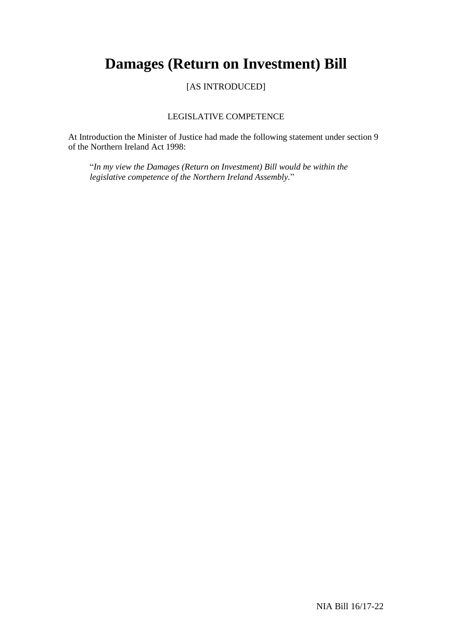# **Damages (Return on Investment) Bill**

[AS INTRODUCED]

### LEGISLATIVE COMPETENCE

At Introduction the Minister of Justice had made the following statement under section 9 of the Northern Ireland Act 1998:

"*In my view the Damages (Return on Investment) Bill would be within the legislative competence of the Northern Ireland Assembly.*"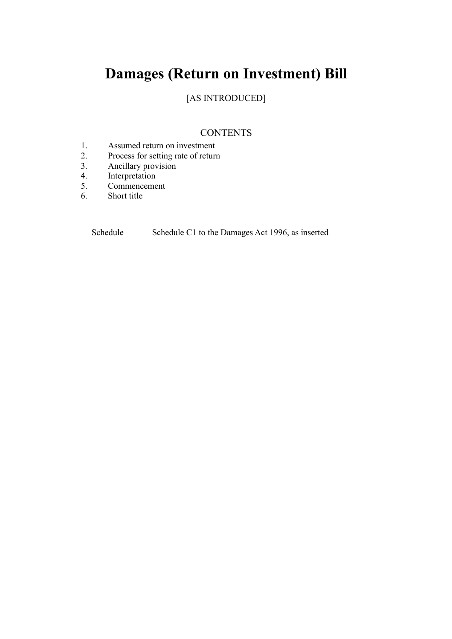# **Damages (Return on Investment) Bill**

## [AS INTRODUCED]

### **CONTENTS**

- 1. Assumed return on investment
- 2. Process for setting rate of return<br>3. Ancillary provision
- Ancillary provision
- 4. Interpretation
- 5. Commencement<br>6. Short title
- Short title

Schedule Schedule C1 to the Damages Act 1996, as inserted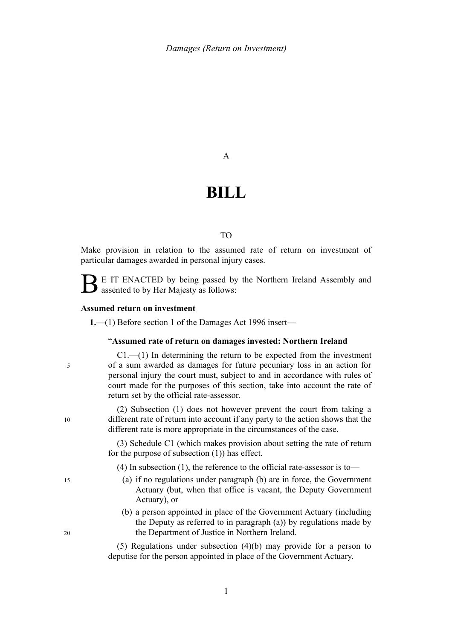### A

## **BILL**

### TO

Make provision in relation to the assumed rate of return on investment of particular damages awarded in personal injury cases.

E IT ENACTED by being passed by the Northern Ireland Assembly and assented to by Her Majesty as follows:

#### **Assumed return on investment**

**1.**—(1) Before section 1 of the Damages Act 1996 insert—

### "**Assumed rate of return on damages invested: Northern Ireland**

 $C1$ .—(1) In determining the return to be expected from the investment of a sum awarded as damages for future pecuniary loss in an action for personal injury the court must, subject to and in accordance with rules of court made for the purposes of this section, take into account the rate of return set by the official rate-assessor.

(2) Subsection (1) does not however prevent the court from taking a different rate of return into account if any party to the action shows that the different rate is more appropriate in the circumstances of the case.

(3) Schedule C1 (which makes provision about setting the rate of return for the purpose of subsection (1)) has effect.

(4) In subsection (1), the reference to the official rate-assessor is to—

- (a) if no regulations under paragraph (b) are in force, the Government Actuary (but, when that office is vacant, the Deputy Government Actuary), or
- (b) a person appointed in place of the Government Actuary (including the Deputy as referred to in paragraph (a)) by regulations made by the Department of Justice in Northern Ireland.

(5) Regulations under subsection (4)(b) may provide for a person to deputise for the person appointed in place of the Government Actuary.

15

10

5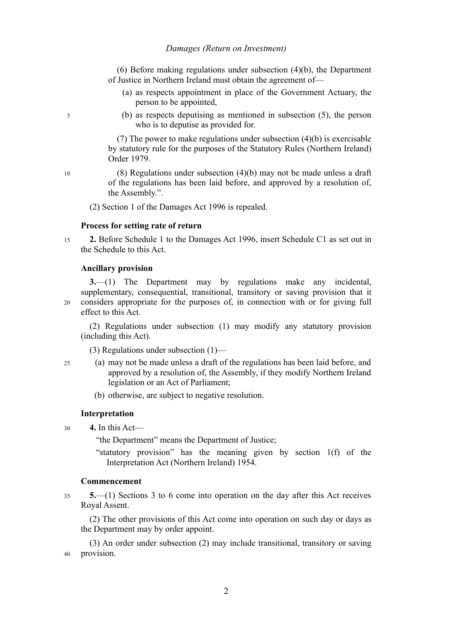(6) Before making regulations under subsection (4)(b), the Department of Justice in Northern Ireland must obtain the agreement of—

- (a) as respects appointment in place of the Government Actuary, the person to be appointed,
- (b) as respects deputising as mentioned in subsection (5), the person who is to deputise as provided for.

(7) The power to make regulations under subsection (4)(b) is exercisable by statutory rule for the purposes of the Statutory Rules (Northern Ireland) Order 1979.

10

5

(8) Regulations under subsection (4)(b) may not be made unless a draft of the regulations has been laid before, and approved by a resolution of, the Assembly.".

(2) Section 1 of the Damages Act 1996 is repealed.

### <span id="page-5-2"></span>**Process for setting rate of return**

**2.** Before Schedule 1 to the Damages Act 1996, insert Schedule C1 as set out in the Schedule to this Act. 15

### <span id="page-5-1"></span><span id="page-5-0"></span>**Ancillary provision**

**3.**—(1) The Department may by regulations make any incidental, supplementary, consequential, transitional, transitory or saving provision that it considers appropriate for the purposes of, in connection with or for giving full effect to this Act. 20

(2) Regulations under subsection [\(1\)](#page-5-0) may modify any statutory provision (including this Act).

(3) Regulations under subsection [\(1\)—](#page-5-0)

- (a) may not be made unless a draft of the regulations has been laid before, and approved by a resolution of, the Assembly, if they modify Northern Ireland legislation or an Act of Parliament;  $25$ 
	- (b) otherwise, are subject to negative resolution.

### **Interpretation**

**4.** In this Act— 30

"the Department" means the Department of Justice;

"statutory provision" has the meaning given by section 1(f) of the Interpretation Act (Northern Ireland) 1954.

### **Commencement**

**5.**—(1) Sections [3](#page-5-1) to [6](#page--1-0) come into operation on the day after this Act receives Royal Assent. 35

(2) The other provisions of this Act come into operation on such day or days as the Department may by order appoint.

(3) An order under subsection (2) may include transitional, transitory or saving provision. 40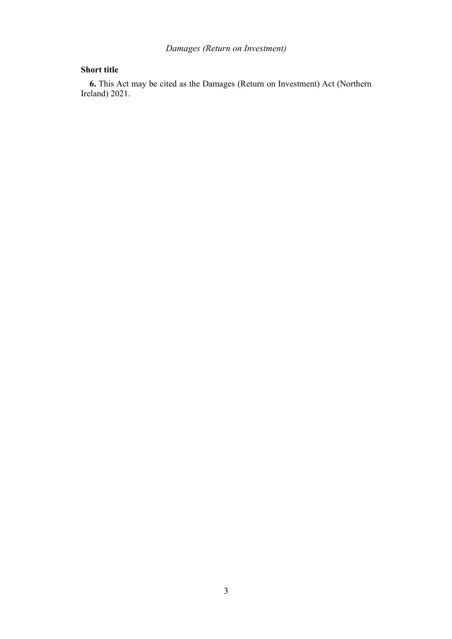## *Damages (Return on Investment)*

### **Short title**

**6.** This Act may be cited as the Damages (Return on Investment) Act (Northern Ireland) 2021.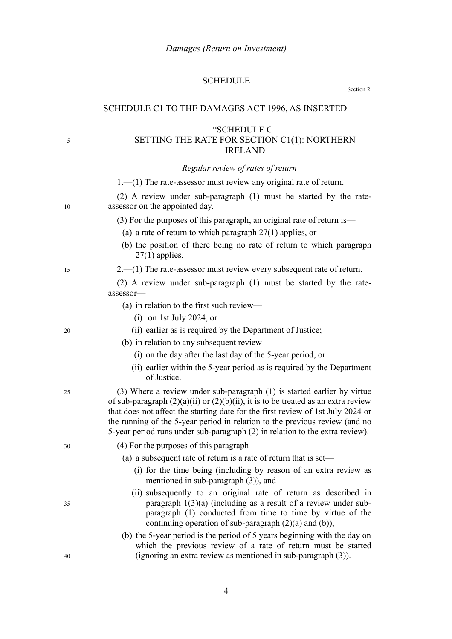### **SCHEDULE**

Section [2.](#page-5-2)

5

### "SCHEDULE C1 SETTING THE RATE FOR SECTION C1(1): NORTHERN IRELAND

|    | Regular review of rates of return                                                                                                                                                                                                                                                                                                                                                                                   |
|----|---------------------------------------------------------------------------------------------------------------------------------------------------------------------------------------------------------------------------------------------------------------------------------------------------------------------------------------------------------------------------------------------------------------------|
|    | $1$ .—(1) The rate-assessor must review any original rate of return.                                                                                                                                                                                                                                                                                                                                                |
| 10 | (2) A review under sub-paragraph (1) must be started by the rate-<br>assessor on the appointed day.                                                                                                                                                                                                                                                                                                                 |
|    | (3) For the purposes of this paragraph, an original rate of return is—                                                                                                                                                                                                                                                                                                                                              |
|    | (a) a rate of return to which paragraph $27(1)$ applies, or                                                                                                                                                                                                                                                                                                                                                         |
|    | (b) the position of there being no rate of return to which paragraph<br>$27(1)$ applies.                                                                                                                                                                                                                                                                                                                            |
| 15 | $2.-(1)$ The rate-assessor must review every subsequent rate of return.                                                                                                                                                                                                                                                                                                                                             |
|    | (2) A review under sub-paragraph (1) must be started by the rate-<br>assessor-                                                                                                                                                                                                                                                                                                                                      |
|    | (a) in relation to the first such review—                                                                                                                                                                                                                                                                                                                                                                           |
|    | $(i)$ on 1st July 2024, or                                                                                                                                                                                                                                                                                                                                                                                          |
| 20 | (ii) earlier as is required by the Department of Justice;                                                                                                                                                                                                                                                                                                                                                           |
|    | (b) in relation to any subsequent review—                                                                                                                                                                                                                                                                                                                                                                           |
|    | (i) on the day after the last day of the 5-year period, or                                                                                                                                                                                                                                                                                                                                                          |
|    | (ii) earlier within the 5-year period as is required by the Department<br>of Justice.                                                                                                                                                                                                                                                                                                                               |
| 25 | (3) Where a review under sub-paragraph (1) is started earlier by virtue<br>of sub-paragraph $(2)(a)(ii)$ or $(2)(b)(ii)$ , it is to be treated as an extra review<br>that does not affect the starting date for the first review of 1st July 2024 or<br>the running of the 5-year period in relation to the previous review (and no<br>5-year period runs under sub-paragraph (2) in relation to the extra review). |
| 30 | $(4)$ For the purposes of this paragraph—                                                                                                                                                                                                                                                                                                                                                                           |
|    | (a) a subsequent rate of return is a rate of return that is set—                                                                                                                                                                                                                                                                                                                                                    |
|    | (i) for the time being (including by reason of an extra review as<br>mentioned in sub-paragraph (3)), and                                                                                                                                                                                                                                                                                                           |
| 35 | (ii) subsequently to an original rate of return as described in<br>paragraph $1(3)(a)$ (including as a result of a review under sub-<br>paragraph (1) conducted from time to time by virtue of the<br>continuing operation of sub-paragraph $(2)(a)$ and $(b)$ ),                                                                                                                                                   |
|    | (b) the 5-year period is the period of 5 years beginning with the day on<br>which the previous review of a rate of return must be started                                                                                                                                                                                                                                                                           |
| 40 | (ignoring an extra review as mentioned in sub-paragraph (3)).                                                                                                                                                                                                                                                                                                                                                       |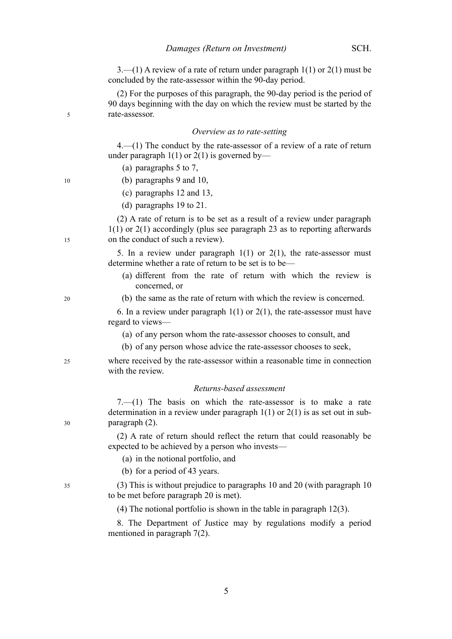3.—(1) A review of a rate of return under paragraph  $1(1)$  or  $2(1)$  must be concluded by the rate-assessor within the 90-day period.

(2) For the purposes of this paragraph, the 90-day period is the period of 90 days beginning with the day on which the review must be started by the rate-assessor.

#### *Overview as to rate-setting*

4.—(1) The conduct by the rate-assessor of a review of a rate of return under paragraph  $1(1)$  or  $2(1)$  is governed by—

- (a) paragraphs 5 to 7,
- (b) paragraphs 9 and 10,
- (c) paragraphs 12 and 13,
- (d) paragraphs 19 to 21.

(2) A rate of return is to be set as a result of a review under paragraph 1(1) or 2(1) accordingly (plus see paragraph 23 as to reporting afterwards on the conduct of such a review).

5. In a review under paragraph  $1(1)$  or  $2(1)$ , the rate-assessor must determine whether a rate of return to be set is to be—

- (a) different from the rate of return with which the review is concerned, or
- (b) the same as the rate of return with which the review is concerned.

6. In a review under paragraph  $1(1)$  or  $2(1)$ , the rate-assessor must have regard to views—

- (a) of any person whom the rate-assessor chooses to consult, and
- (b) of any person whose advice the rate-assessor chooses to seek,
- where received by the rate-assessor within a reasonable time in connection with the review.  $25$

### *Returns-based assessment*

7.—(1) The basis on which the rate-assessor is to make a rate determination in a review under paragraph  $1(1)$  or  $2(1)$  is as set out in subparagraph (2).

(2) A rate of return should reflect the return that could reasonably be expected to be achieved by a person who invests—

- (a) in the notional portfolio, and
- (b) for a period of 43 years.

(3) This is without prejudice to paragraphs 10 and 20 (with paragraph 10 to be met before paragraph 20 is met).

(4) The notional portfolio is shown in the table in paragraph 12(3).

8. The Department of Justice may by regulations modify a period mentioned in paragraph 7(2).

15

5

10

20

 $30$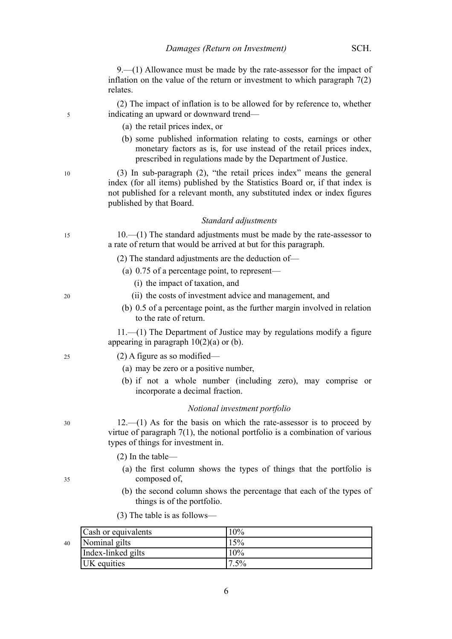|    | relates.                                             | $9-(1)$ Allowance must be made by the rate-assessor for the impact of<br>inflation on the value of the return or investment to which paragraph $7(2)$                                                                               |  |  |  |  |  |
|----|------------------------------------------------------|-------------------------------------------------------------------------------------------------------------------------------------------------------------------------------------------------------------------------------------|--|--|--|--|--|
| 5  | indicating an upward or downward trend—              | (2) The impact of inflation is to be allowed for by reference to, whether                                                                                                                                                           |  |  |  |  |  |
|    | (a) the retail prices index, or                      |                                                                                                                                                                                                                                     |  |  |  |  |  |
|    |                                                      | (b) some published information relating to costs, earnings or other<br>monetary factors as is, for use instead of the retail prices index,<br>prescribed in regulations made by the Department of Justice.                          |  |  |  |  |  |
| 10 | published by that Board.                             | (3) In sub-paragraph (2), "the retail prices index" means the general<br>index (for all items) published by the Statistics Board or, if that index is<br>not published for a relevant month, any substituted index or index figures |  |  |  |  |  |
|    |                                                      | Standard adjustments                                                                                                                                                                                                                |  |  |  |  |  |
| 15 |                                                      | $10$ . $-$ (1) The standard adjustments must be made by the rate-assessor to<br>a rate of return that would be arrived at but for this paragraph.                                                                                   |  |  |  |  |  |
|    | $(2)$ The standard adjustments are the deduction of- |                                                                                                                                                                                                                                     |  |  |  |  |  |
|    | (a) $0.75$ of a percentage point, to represent—      |                                                                                                                                                                                                                                     |  |  |  |  |  |
|    | (i) the impact of taxation, and                      |                                                                                                                                                                                                                                     |  |  |  |  |  |
| 20 |                                                      | (ii) the costs of investment advice and management, and                                                                                                                                                                             |  |  |  |  |  |
|    | to the rate of return.                               | (b) 0.5 of a percentage point, as the further margin involved in relation                                                                                                                                                           |  |  |  |  |  |
|    | appearing in paragraph $10(2)(a)$ or (b).            | $11.$ — $(1)$ The Department of Justice may by regulations modify a figure                                                                                                                                                          |  |  |  |  |  |
| 25 | $(2)$ A figure as so modified—                       |                                                                                                                                                                                                                                     |  |  |  |  |  |
|    | (a) may be zero or a positive number,                |                                                                                                                                                                                                                                     |  |  |  |  |  |
|    | incorporate a decimal fraction.                      | (b) if not a whole number (including zero), may comprise or                                                                                                                                                                         |  |  |  |  |  |
|    |                                                      | Notional investment portfolio                                                                                                                                                                                                       |  |  |  |  |  |
| 30 | types of things for investment in.                   | $12.$ (1) As for the basis on which the rate-assessor is to proceed by<br>virtue of paragraph $7(1)$ , the notional portfolio is a combination of various                                                                           |  |  |  |  |  |
|    | $(2)$ In the table—                                  |                                                                                                                                                                                                                                     |  |  |  |  |  |
| 35 | composed of,                                         | (a) the first column shows the types of things that the portfolio is                                                                                                                                                                |  |  |  |  |  |
|    | things is of the portfolio.                          | (b) the second column shows the percentage that each of the types of                                                                                                                                                                |  |  |  |  |  |
|    | $(3)$ The table is as follows—                       |                                                                                                                                                                                                                                     |  |  |  |  |  |
|    | Cash or equivalents                                  | 10%                                                                                                                                                                                                                                 |  |  |  |  |  |
| 40 | Nominal gilts                                        | 15%                                                                                                                                                                                                                                 |  |  |  |  |  |
|    | Index-linked gilts                                   | 10%                                                                                                                                                                                                                                 |  |  |  |  |  |
|    | UK equities                                          | 7.5%                                                                                                                                                                                                                                |  |  |  |  |  |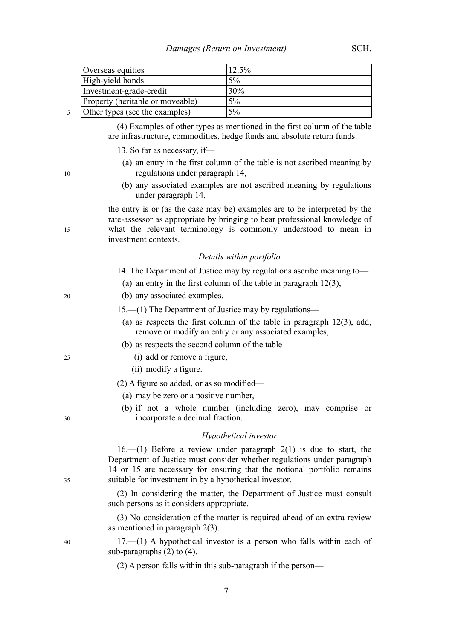| Overseas equities                | $12.5\%$ |
|----------------------------------|----------|
| High-yield bonds                 | $5\%$    |
| Investment-grade-credit          | 30%      |
| Property (heritable or moveable) | $5\%$    |
| Other types (see the examples)   | $5\%$    |

(4) Examples of other types as mentioned in the first column of the table are infrastructure, commodities, hedge funds and absolute return funds.

13. So far as necessary, if—

- (a) an entry in the first column of the table is not ascribed meaning by regulations under paragraph 14,
- (b) any associated examples are not ascribed meaning by regulations under paragraph 14,

the entry is or (as the case may be) examples are to be interpreted by the rate-assessor as appropriate by bringing to bear professional knowledge of what the relevant terminology is commonly understood to mean in investment contexts.

### *Details within portfolio*

14. The Department of Justice may by regulations ascribe meaning to—

- (a) an entry in the first column of the table in paragraph 12(3),
- (b) any associated examples.

15.—(1) The Department of Justice may by regulations—

- (a) as respects the first column of the table in paragraph 12(3), add, remove or modify an entry or any associated examples,
- (b) as respects the second column of the table—
	- (i) add or remove a figure,
	- (ii) modify a figure.
- (2) A figure so added, or as so modified—
	- (a) may be zero or a positive number,
	- (b) if not a whole number (including zero), may comprise or incorporate a decimal fraction.

### *Hypothetical investor*

16.—(1) Before a review under paragraph 2(1) is due to start, the Department of Justice must consider whether regulations under paragraph 14 or 15 are necessary for ensuring that the notional portfolio remains suitable for investment in by a hypothetical investor.

(2) In considering the matter, the Department of Justice must consult such persons as it considers appropriate.

(3) No consideration of the matter is required ahead of an extra review as mentioned in paragraph 2(3).

17.—(1) A hypothetical investor is a person who falls within each of sub-paragraphs (2) to (4).

(2) A person falls within this sub-paragraph if the person—

10

15

20

25

30

35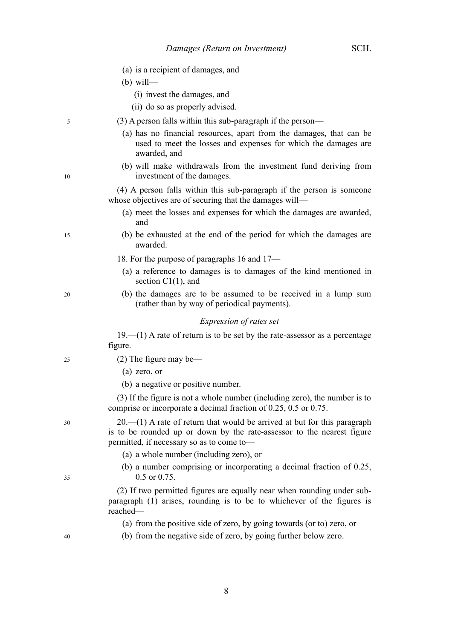|    | (a) is a recipient of damages, and                                                                                                                                                                     |
|----|--------------------------------------------------------------------------------------------------------------------------------------------------------------------------------------------------------|
|    | $(b)$ will-                                                                                                                                                                                            |
|    | (i) invest the damages, and                                                                                                                                                                            |
|    | (ii) do so as properly advised.                                                                                                                                                                        |
| 5  | $(3)$ A person falls within this sub-paragraph if the person—                                                                                                                                          |
|    | (a) has no financial resources, apart from the damages, that can be<br>used to meet the losses and expenses for which the damages are<br>awarded, and                                                  |
| 10 | (b) will make withdrawals from the investment fund deriving from<br>investment of the damages.                                                                                                         |
|    | (4) A person falls within this sub-paragraph if the person is someone<br>whose objectives are of securing that the damages will—                                                                       |
|    | (a) meet the losses and expenses for which the damages are awarded,<br>and                                                                                                                             |
| 15 | (b) be exhausted at the end of the period for which the damages are<br>awarded.                                                                                                                        |
|    | 18. For the purpose of paragraphs 16 and 17—                                                                                                                                                           |
|    | (a) a reference to damages is to damages of the kind mentioned in<br>section $C1(1)$ , and                                                                                                             |
| 20 | (b) the damages are to be assumed to be received in a lump sum<br>(rather than by way of periodical payments).                                                                                         |
|    | Expression of rates set                                                                                                                                                                                |
|    | $19$ — $(1)$ A rate of return is to be set by the rate-assessor as a percentage<br>figure.                                                                                                             |
| 25 | $(2)$ The figure may be—                                                                                                                                                                               |
|    | $(a)$ zero, or                                                                                                                                                                                         |
|    | (b) a negative or positive number.                                                                                                                                                                     |
|    | (3) If the figure is not a whole number (including zero), the number is to<br>comprise or incorporate a decimal fraction of $0.25$ , $0.5$ or $0.75$ .                                                 |
| 30 | $20$ . $-$ (1) A rate of return that would be arrived at but for this paragraph<br>is to be rounded up or down by the rate-assessor to the nearest figure<br>permitted, if necessary so as to come to- |
|    | (a) a whole number (including zero), or                                                                                                                                                                |
| 35 | (b) a number comprising or incorporating a decimal fraction of $0.25$ ,<br>$0.5$ or $0.75$ .                                                                                                           |
|    | (2) If two permitted figures are equally near when rounding under sub-<br>paragraph (1) arises, rounding is to be to whichever of the figures is<br>reached-                                           |
|    | (a) from the positive side of zero, by going towards (or to) zero, or                                                                                                                                  |
| 40 | (b) from the negative side of zero, by going further below zero.                                                                                                                                       |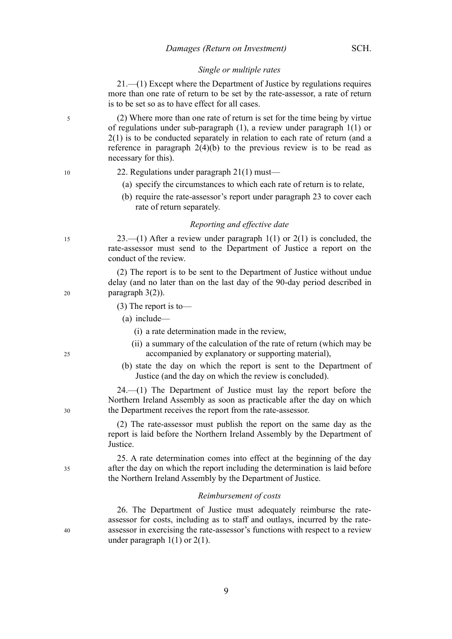### *Single or multiple rates*

21.—(1) Except where the Department of Justice by regulations requires more than one rate of return to be set by the rate-assessor, a rate of return is to be set so as to have effect for all cases.

(2) Where more than one rate of return is set for the time being by virtue of regulations under sub-paragraph (1), a review under paragraph 1(1) or 2(1) is to be conducted separately in relation to each rate of return (and a reference in paragraph  $2(4)(b)$  to the previous review is to be read as necessary for this).

10

15

20

25

30

35

40

5

### 22. Regulations under paragraph 21(1) must—

- (a) specify the circumstances to which each rate of return is to relate,
- (b) require the rate-assessor's report under paragraph 23 to cover each rate of return separately.

### *Reporting and effective date*

23.—(1) After a review under paragraph  $1(1)$  or  $2(1)$  is concluded, the rate-assessor must send to the Department of Justice a report on the conduct of the review.

(2) The report is to be sent to the Department of Justice without undue delay (and no later than on the last day of the 90-day period described in paragraph 3(2)).

(3) The report is to—

(a) include—

(i) a rate determination made in the review,

- (ii) a summary of the calculation of the rate of return (which may be accompanied by explanatory or supporting material),
- (b) state the day on which the report is sent to the Department of Justice (and the day on which the review is concluded).

24.—(1) The Department of Justice must lay the report before the Northern Ireland Assembly as soon as practicable after the day on which the Department receives the report from the rate-assessor.

(2) The rate-assessor must publish the report on the same day as the report is laid before the Northern Ireland Assembly by the Department of Justice.

25. A rate determination comes into effect at the beginning of the day after the day on which the report including the determination is laid before the Northern Ireland Assembly by the Department of Justice.

#### *Reimbursement of costs*

26. The Department of Justice must adequately reimburse the rateassessor for costs, including as to staff and outlays, incurred by the rateassessor in exercising the rate-assessor's functions with respect to a review under paragraph  $1(1)$  or  $2(1)$ .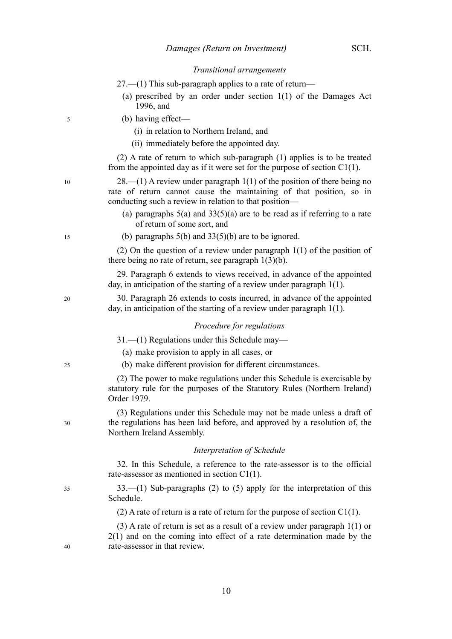#### *Transitional arrangements*

|  |  |  |  |  |  | $27.$ $-$ (1) This sub-paragraph applies to a rate of return– |  |
|--|--|--|--|--|--|---------------------------------------------------------------|--|

- (a) prescribed by an order under section 1(1) of the Damages Act 1996, and
- (b) having effect—

5

10

15

20

25

30

35

40

- (i) in relation to Northern Ireland, and
- (ii) immediately before the appointed day.

(2) A rate of return to which sub-paragraph (1) applies is to be treated from the appointed day as if it were set for the purpose of section  $Cl(1)$ .

 $28$ —(1) A review under paragraph 1(1) of the position of there being no rate of return cannot cause the maintaining of that position, so in conducting such a review in relation to that position—

- (a) paragraphs  $5(a)$  and  $33(5)(a)$  are to be read as if referring to a rate of return of some sort, and
- (b) paragraphs 5(b) and 33(5)(b) are to be ignored.

(2) On the question of a review under paragraph 1(1) of the position of there being no rate of return, see paragraph  $1(3)(b)$ .

29. Paragraph 6 extends to views received, in advance of the appointed day, in anticipation of the starting of a review under paragraph 1(1).

30. Paragraph 26 extends to costs incurred, in advance of the appointed day, in anticipation of the starting of a review under paragraph 1(1).

#### *Procedure for regulations*

31.—(1) Regulations under this Schedule may—

(a) make provision to apply in all cases, or

(b) make different provision for different circumstances.

(2) The power to make regulations under this Schedule is exercisable by statutory rule for the purposes of the Statutory Rules (Northern Ireland) Order 1979.

(3) Regulations under this Schedule may not be made unless a draft of the regulations has been laid before, and approved by a resolution of, the Northern Ireland Assembly.

### *Interpretation of Schedule*

32. In this Schedule, a reference to the rate-assessor is to the official rate-assessor as mentioned in section C1(1).

33.—(1) Sub-paragraphs (2) to (5) apply for the interpretation of this Schedule.

(2) A rate of return is a rate of return for the purpose of section  $C1(1)$ .

(3) A rate of return is set as a result of a review under paragraph 1(1) or

2(1) and on the coming into effect of a rate determination made by the rate-assessor in that review.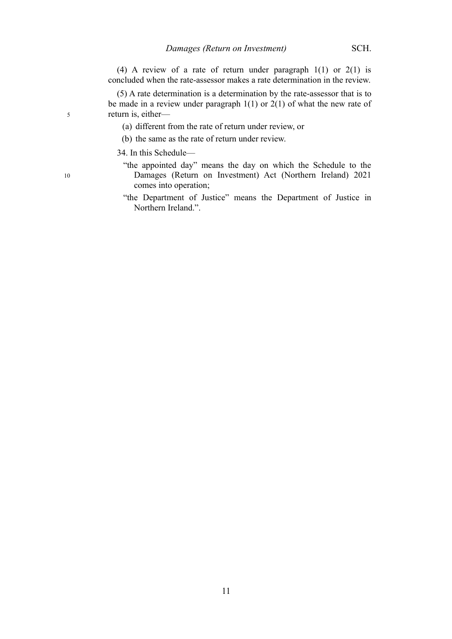(4) A review of a rate of return under paragraph 1(1) or 2(1) is concluded when the rate-assessor makes a rate determination in the review.

(5) A rate determination is a determination by the rate-assessor that is to be made in a review under paragraph 1(1) or 2(1) of what the new rate of return is, either—

- (a) different from the rate of return under review, or
- (b) the same as the rate of return under review.

34. In this Schedule—

- "the appointed day" means the day on which the Schedule to the Damages (Return on Investment) Act (Northern Ireland) 2021 comes into operation;
- "the Department of Justice" means the Department of Justice in Northern Ireland.".

10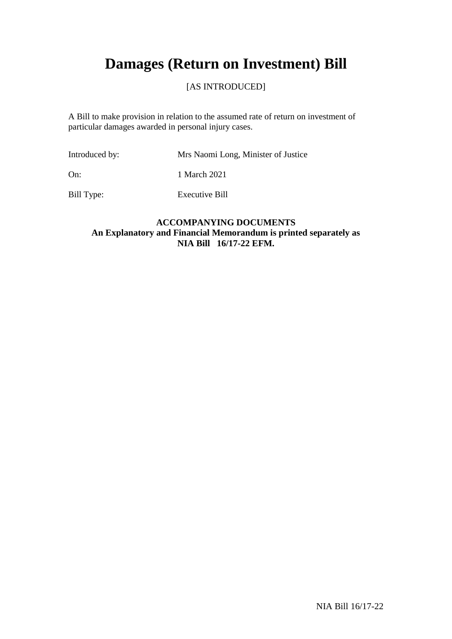# **Damages (Return on Investment) Bill**

## [AS INTRODUCED]

A Bill to make provision in relation to the assumed rate of return on investment of particular damages awarded in personal injury cases.

| Introduced by: | Mrs Naomi Long, Minister of Justice |  |
|----------------|-------------------------------------|--|

On: 1 March 2021

Bill Type: Executive Bill

### **ACCOMPANYING DOCUMENTS An Explanatory and Financial Memorandum is printed separately as NIA Bill 16/17-22 EFM.**